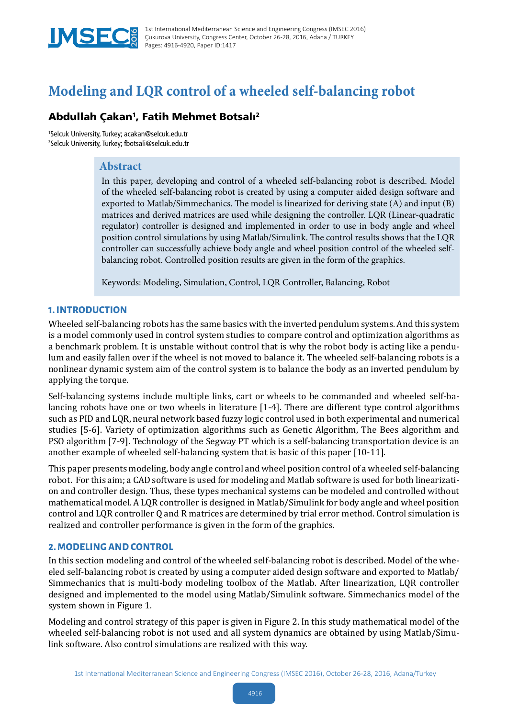

# **Modeling and LQR control of a wheeled self-balancing robot**

# Abdullah Çakan<sup>1</sup>, Fatih Mehmet Botsalı<sup>2</sup>

1 Selcuk University, Turkey; acakan@selcuk.edu.tr 2 Selcuk University, Turkey; fbotsali@selcuk.edu.tr

## **Abstract**

In this paper, developing and control of a wheeled self-balancing robot is described. Model of the wheeled self-balancing robot is created by using a computer aided design software and exported to Matlab/Simmechanics. The model is linearized for deriving state (A) and input (B) matrices and derived matrices are used while designing the controller. LQR (Linear-quadratic regulator) controller is designed and implemented in order to use in body angle and wheel position control simulations by using Matlab/Simulink. The control results shows that the LQR controller can successfully achieve body angle and wheel position control of the wheeled selfbalancing robot. Controlled position results are given in the form of the graphics.

Keywords: Modeling, Simulation, Control, LQR Controller, Balancing, Robot

## **1. INTRODUCTION**

Wheeled self-balancing robots has the same basics with the inverted pendulum systems. And this system is a model commonly used in control system studies to compare control and optimization algorithms as a benchmark problem. It is unstable without control that is why the robot body is acting like a pendulum and easily fallen over if the wheel is not moved to balance it. The wheeled self-balancing robots is a nonlinear dynamic system aim of the control system is to balance the body as an inverted pendulum by applying the torque.

Self-balancing systems include multiple links, cart or wheels to be commanded and wheeled self-balancing robots have one or two wheels in literature [1-4]. There are different type control algorithms such as PID and LQR, neural network based fuzzy logic control used in both experimental and numerical studies [5-6]. Variety of optimization algorithms such as Genetic Algorithm, The Bees algorithm and PSO algorithm [7-9]. Technology of the Segway PT which is a self-balancing transportation device is an another example of wheeled self-balancing system that is basic of this paper [10-11].

This paper presents modeling, body angle control and wheel position control of a wheeled self-balancing robot. For this aim; a CAD software is used for modeling and Matlab software is used for both linearization and controller design. Thus, these types mechanical systems can be modeled and controlled without mathematical model. A LQR controller is designed in Matlab/Simulink for body angle and wheel position control and LQR controller Q and R matrices are determined by trial error method. Control simulation is realized and controller performance is given in the form of the graphics.

## **2. MODELING AND CONTROL**

In this section modeling and control of the wheeled self-balancing robot is described. Model of the wheeled self-balancing robot is created by using a computer aided design software and exported to Matlab/ Simmechanics that is multi-body modeling toolbox of the Matlab. After linearization, LQR controller designed and implemented to the model using Matlab/Simulink software. Simmechanics model of the system shown in Figure 1.

Modeling and control strategy of this paper is given in Figure 2. In this study mathematical model of the wheeled self-balancing robot is not used and all system dynamics are obtained by using Matlab/Simulink software. Also control simulations are realized with this way.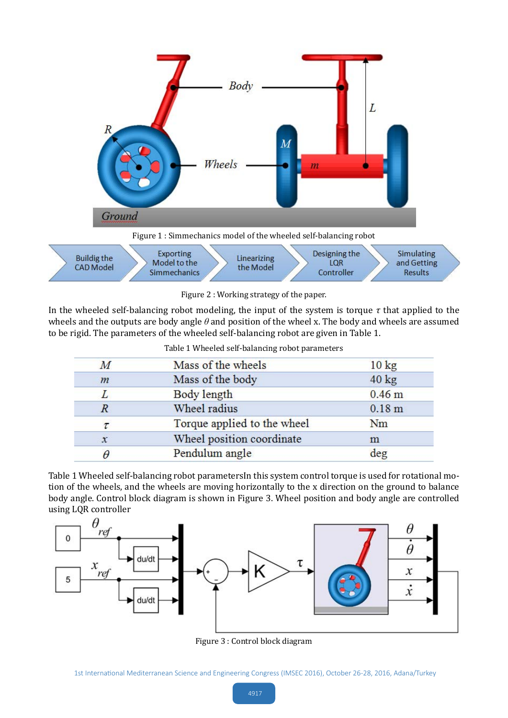

Figure 2 : Working strategy of the paper.

In the wheeled self-balancing robot modeling, the input of the system is torque  $\tau$  that applied to the wheels and the outputs are body angle *θ* and position of the wheel x. The body and wheels are assumed to be rigid. The parameters of the wheeled self-balancing robot are given in Table 1.

| $\overline{M}$      | Mass of the wheels          | $10 \text{ kg}$   |
|---------------------|-----------------------------|-------------------|
| m                   | Mass of the body            | $40 \text{ kg}$   |
| L                   | Body length                 | 0.46 <sub>m</sub> |
| $\overline{R}$      | Wheel radius                | 0.18 <sub>m</sub> |
| τ                   | Torque applied to the wheel | Nm                |
| $\boldsymbol{\chi}$ | Wheel position coordinate   | m                 |
| θ                   | Pendulum angle              | deg               |

Table 1 Wheeled self-balancing robot parametersIn this system control torque is used for rotational motion of the wheels, and the wheels are moving horizontally to the x direction on the ground to balance body angle. Control block diagram is shown in Figure 3. Wheel position and body angle are controlled using LQR controller



Figure 3 : Control block diagram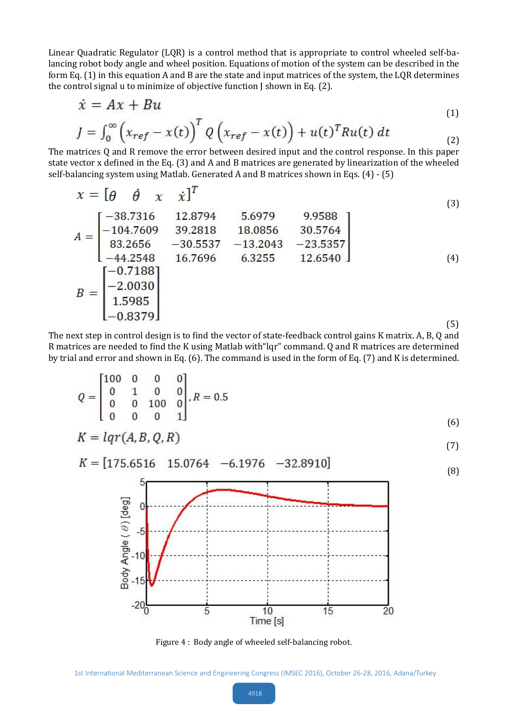Linear Quadratic Regulator (LQR) is a control method that is appropriate to control wheeled self-balancing robot body angle and wheel position. Equations of motion of the system can be described in the form Eq. (1) in this equation A and B are the state and input matrices of the system, the LQR determines the control signal u to minimize of objective function J shown in Eq. (2).

$$
\dot{x} = Ax + Bu
$$
\n
$$
x = \left(\frac{1}{2}\right)^T e^{-x} \left(\frac{1}{2}\right)^T e^{-x} \left(\frac{1}{2}\right)^T e^{-x} \left(\frac{1}{2}\right)^T e^{-x} \left(\frac{1}{2}\right)^T e^{-x} \left(\frac{1}{2}\right)^T e^{-x} \left(\frac{1}{2}\right)^T e^{-x} \left(\frac{1}{2}\right)^T e^{-x} \left(\frac{1}{2}\right)^T e^{-x} \left(\frac{1}{2}\right)^T e^{-x} \left(\frac{1}{2}\right)^T e^{-x} \left(\frac{1}{2}\right)^T e^{-x} \left(\frac{1}{2}\right)^T e^{-x} \left(\frac{1}{2}\right)^T e^{-x} \left(\frac{1}{2}\right)^T e^{-x} \left(\frac{1}{2}\right)^T e^{-x} \left(\frac{1}{2}\right)^T e^{-x} \left(\frac{1}{2}\right)^T e^{-x} \left(\frac{1}{2}\right)^T e^{-x} \left(\frac{1}{2}\right)^T e^{-x} \left(\frac{1}{2}\right)^T e^{-x} \left(\frac{1}{2}\right)^T e^{-x} \left(\frac{1}{2}\right)^T e^{-x} \left(\frac{1}{2}\right)^T e^{-x} \left(\frac{1}{2}\right)^T e^{-x} \left(\frac{1}{2}\right)^T e^{-x} \left(\frac{1}{2}\right)^T e^{-x} \left(\frac{1}{2}\right)^T e^{-x} \left(\frac{1}{2}\right)^T e^{-x} \left(\frac{1}{2}\right)^T e^{-x} \left(\frac{1}{2}\right)^T e^{-x} \left(\frac{1}{2}\right)^T e^{-x} \left(\frac{1}{2}\right)^T e^{-x} \left(\frac{1}{2}\right)^T e^{-x} \left(\frac{1}{2}\right)^T e^{-x} \left(\frac{1}{2}\right)^T e^{-x} \left(\frac{1}{2}\right)^T e^{-x} \left(\frac{1}{2}\right)^T e^{-x} \left(\frac{1}{2}\right)^T e^{-x} \left(\frac{1}{2}\right)^T e^{-x} \left(\frac{1}{2}\right)^T e^{-x} \left(\frac{1}{2}\right)^T e^{-x} \left(\frac{1}{2}\right)^T e^{-x} \left(\frac{1}{2}\right)^T e^{-x} \left(\frac{1}{2}\right)^T e^{-x} \left(\frac{1}{2}\right)^T e^{-x} \left(\frac
$$

$$
J = \int_0^\infty \left( x_{ref} - x(t) \right)^2 Q \left( x_{ref} - x(t) \right) + u(t)^T R u(t) dt \tag{2}
$$

The matrices Q and R remove the error between desired input and the control response. In this paper state vector x defined in the Eq. (3) and A and B matrices are generated by linearization of the wheeled self-balancing system using Matlab. Generated A and B matrices shown in Eqs. (4) - (5)

$$
x = \begin{bmatrix} \theta & \theta & x & \dot{x} \end{bmatrix}^T
$$
  
\n
$$
A = \begin{bmatrix} -38.7316 & 12.8794 & 5.6979 & 9.9588 \\ -104.7609 & 39.2818 & 18.0856 & 30.5764 \\ 83.2656 & -30.5537 & -13.2043 & -23.5357 \\ -44.2548 & 16.7696 & 6.3255 & 12.6540 \end{bmatrix}
$$
  
\n
$$
B = \begin{bmatrix} -0.7188 \\ -2.0030 \\ 1.5985 \\ -0.8379 \end{bmatrix}
$$
 (3)

The next step in control design is to find the vector of state-feedback control gains K matrix. A, B, Q and R matrices are needed to find the K using Matlab with"lqr" command. Q and R matrices are determined by trial and error and shown in Eq. (6). The command is used in the form of Eq. (7) and K is determined.

$$
Q = \begin{bmatrix} 100 & 0 & 0 & 0 \\ 0 & 1 & 0 & 0 \\ 0 & 0 & 100 & 0 \\ 0 & 0 & 0 & 1 \end{bmatrix}, R = 0.5
$$
  
(6)  

$$
K = \text{Iar}(AB, Q, R)
$$

$$
K = \iota q \iota(A, D, Q, K) \tag{7}
$$



Figure 4 : Body angle of wheeled self-balancing robot.

1st International Mediterranean Science and Engineering Congress (IMSEC 2016), October 26-28, 2016, Adana/Turkey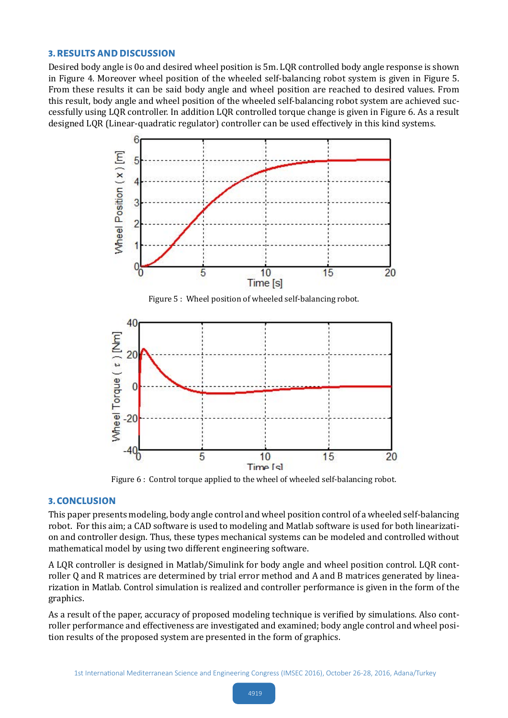#### **3. RESULTS AND DISCUSSION**

Desired body angle is 0o and desired wheel position is 5m. LQR controlled body angle response is shown in Figure 4. Moreover wheel position of the wheeled self-balancing robot system is given in Figure 5. From these results it can be said body angle and wheel position are reached to desired values. From this result, body angle and wheel position of the wheeled self-balancing robot system are achieved successfully using LQR controller. In addition LQR controlled torque change is given in Figure 6. As a result designed LQR (Linear-quadratic regulator) controller can be used effectively in this kind systems.



Figure 5 : Wheel position of wheeled self-balancing robot.



Figure 6 : Control torque applied to the wheel of wheeled self-balancing robot.

### **3. CONCLUSION**

This paper presents modeling, body angle control and wheel position control of a wheeled self-balancing robot. For this aim; a CAD software is used to modeling and Matlab software is used for both linearization and controller design. Thus, these types mechanical systems can be modeled and controlled without mathematical model by using two different engineering software.

A LQR controller is designed in Matlab/Simulink for body angle and wheel position control. LQR controller Q and R matrices are determined by trial error method and A and B matrices generated by linearization in Matlab. Control simulation is realized and controller performance is given in the form of the graphics.

As a result of the paper, accuracy of proposed modeling technique is verified by simulations. Also controller performance and effectiveness are investigated and examined; body angle control and wheel position results of the proposed system are presented in the form of graphics.